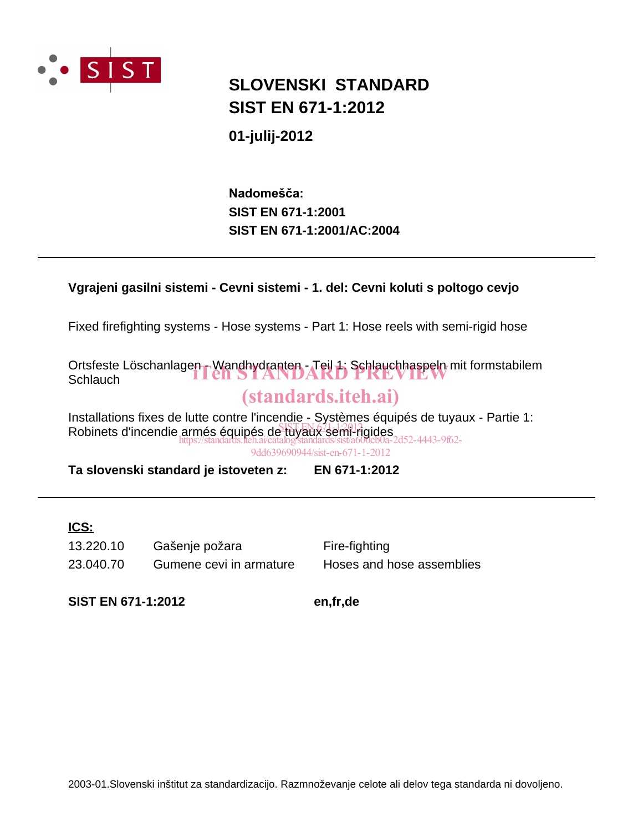

# **SIST EN 671-1:2012 SLOVENSKI STANDARD**

# **01-julij-2012**

**SIST EN 671-1:2001/AC:2004 SIST EN 671-1:2001** Nadomešča:

### **Vgrajeni gasilni sistemi - Cevni sistemi - 1. del: Cevni koluti s poltogo cevjo**

Fixed firefighting systems - Hose systems - Part 1: Hose reels with semi-rigid hose

Ortsfeste Löschanlagen - Wandhydranten - Teil 1: Schlauchhaspeln mit formstabilem<br>Schlauch **Schlauch** 

# (standards.iteh.ai)

Installations fixes de lutte contre l'incendie - Systèmes équipés de tuyaux - Partie 1: Robinets d'incendie armés équipés de tuyaux semi-rigides https://standards.iteh.ai/catalog/standards/sist/a600cb0a-2d52-4443-9f62-

9dd639690944/sist-en-671-1-2012

**Ta slovenski standard je istoveten z: EN 671-1:2012**

### **ICS:**

23.040.70 Gumene cevi in armature Hoses and hose assemblies 13.220.10 Gašenje požara Fire-fighting

**SIST EN 671-1:2012 en,fr,de**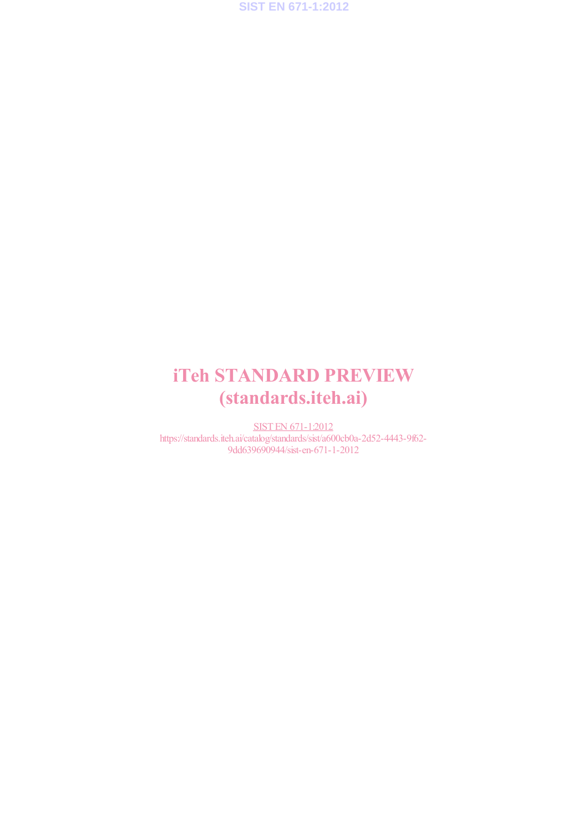

# iTeh STANDARD PREVIEW (standards.iteh.ai)

SIST EN 671-1:2012 https://standards.iteh.ai/catalog/standards/sist/a600cb0a-2d52-4443-9f62- 9dd639690944/sist-en-671-1-2012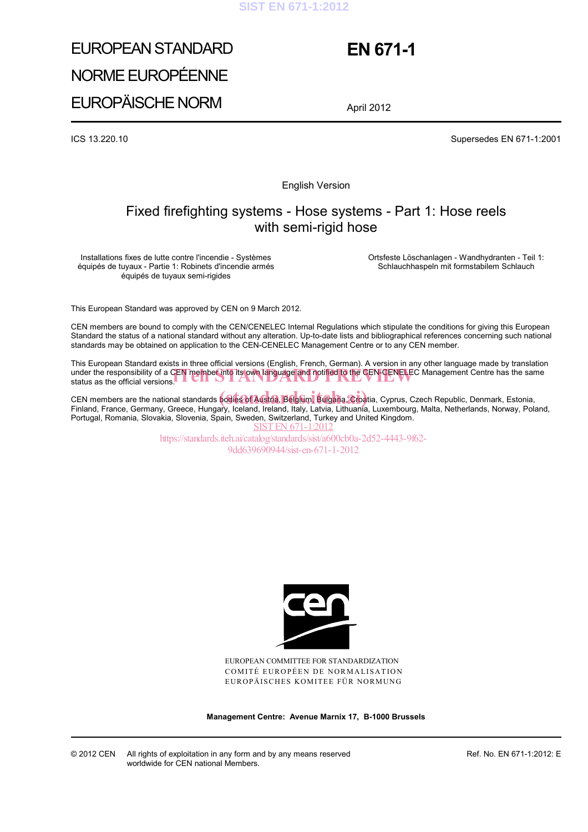#### **SIST EN 671-1:2012**

# EUROPEAN STANDARD NORME EUROPÉENNE EUROPÄISCHE NORM

# **EN 671-1**

April 2012

ICS 13.220.10 Supersedes EN 671-1:2001

English Version

## Fixed firefighting systems - Hose systems - Part 1: Hose reels with semi-rigid hose

Installations fixes de lutte contre l'incendie - Systèmes équipés de tuyaux - Partie 1: Robinets d'incendie armés équipés de tuyaux semi-rigides

 Ortsfeste Löschanlagen - Wandhydranten - Teil 1: Schlauchhaspeln mit formstabilem Schlauch

This European Standard was approved by CEN on 9 March 2012.

CEN members are bound to comply with the CEN/CENELEC Internal Regulations which stipulate the conditions for giving this European Standard the status of a national standard without any alteration. Up-to-date lists and bibliographical references concerning such national standards may be obtained on application to the CEN-CENELEC Management Centre or to any CEN member.

This European Standard exists in three official versions (English, French, German). A version in any other language made by translation under the responsibility of a CEN member into its own language and notified to the CEN-CENELEC Management Centre has the same status as the official versions. status as the official versions.

CEN members are the national standards bodies of Austria, Belgium, Bulgaria, Croatia, Cyprus, Czech Republic, Denmark, Estonia, CEN members are the national standards bodies of Austria, Belgium, Bulgaria, Croatia, Cyprus, Czech Republic, Denmark, Estonia,<br>Finland, France, Germany, Greece, Hungary, Iceland, Ireland, Italy, Latvia, Lithuania, Luxembo Portugal, Romania, Slovakia, Slovenia, Spain, Sweden, Switzerland, Turkey and United Kingdom. **SIST EN 671-1:2012** 

> https://standards.iteh.ai/catalog/standards/sist/a600cb0a-2d52-4443-9f62- 9dd639690944/sist-en-671-1-2012



EUROPEAN COMMITTEE FOR STANDARDIZATION COMITÉ EUROPÉEN DE NORMALISATION EUROPÄISCHES KOMITEE FÜR NORMUNG

**Management Centre: Avenue Marnix 17, B-1000 Brussels**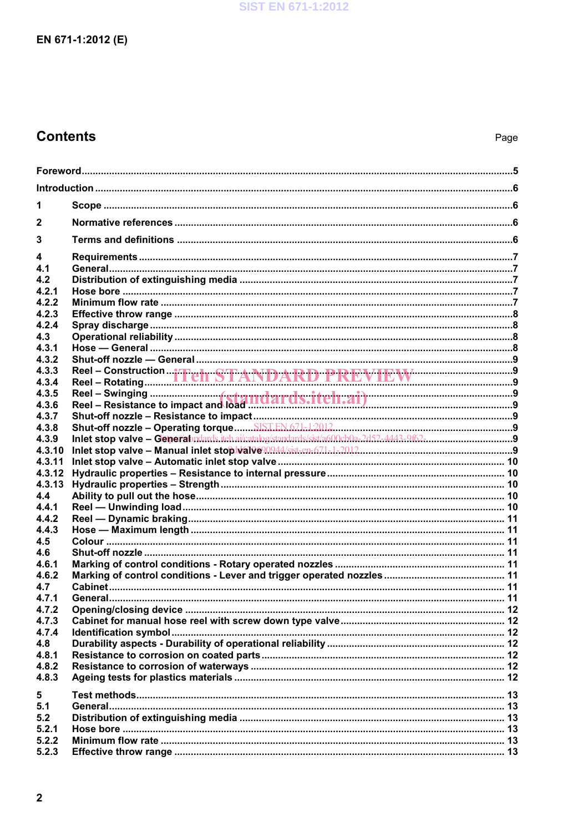# **Contents**

| 1            |                                                                                          |  |  |  |
|--------------|------------------------------------------------------------------------------------------|--|--|--|
| $\mathbf{2}$ |                                                                                          |  |  |  |
| 3            |                                                                                          |  |  |  |
| 4            |                                                                                          |  |  |  |
| 4.1          |                                                                                          |  |  |  |
| 4.2          |                                                                                          |  |  |  |
| 4.2.1        |                                                                                          |  |  |  |
| 4.2.2        |                                                                                          |  |  |  |
| 4.2.3        |                                                                                          |  |  |  |
| 4.2.4        |                                                                                          |  |  |  |
| 4.3          |                                                                                          |  |  |  |
| 4.3.1        |                                                                                          |  |  |  |
| 4.3.2        |                                                                                          |  |  |  |
| 4.3.3        | Reel - Construction <del>Teh STANDARD PREVIEW</del>                                      |  |  |  |
| 4.3.4        |                                                                                          |  |  |  |
| 4.3.5        |                                                                                          |  |  |  |
| 4.3.6        |                                                                                          |  |  |  |
| 4.3.7        |                                                                                          |  |  |  |
| 4.3.8        |                                                                                          |  |  |  |
| 4.3.9        | Inlet stop valve - General ndards itch avcatalog/standards/sist/a600cb0a-2d52-4443-9f62- |  |  |  |
| 4.3.10       |                                                                                          |  |  |  |
| 4.3.11       |                                                                                          |  |  |  |
| 4.3.12       |                                                                                          |  |  |  |
| 4.3.13       |                                                                                          |  |  |  |
| 4.4          |                                                                                          |  |  |  |
| 4.4.1        |                                                                                          |  |  |  |
| 4.4.2        |                                                                                          |  |  |  |
| 4.4.3        |                                                                                          |  |  |  |
| 4.5          |                                                                                          |  |  |  |
| 4.6          |                                                                                          |  |  |  |
| 4.6.1        |                                                                                          |  |  |  |
| 4.6.2        |                                                                                          |  |  |  |
| 4.7          |                                                                                          |  |  |  |
| 4.7.1        |                                                                                          |  |  |  |
| 4.7.2        |                                                                                          |  |  |  |
| 4.7.3        |                                                                                          |  |  |  |
| 4.7.4        |                                                                                          |  |  |  |
| 4.8          |                                                                                          |  |  |  |
| 4.8.1        |                                                                                          |  |  |  |
| 4.8.2        |                                                                                          |  |  |  |
| 4.8.3        |                                                                                          |  |  |  |
| 5            |                                                                                          |  |  |  |
| 5.1          |                                                                                          |  |  |  |
| 5.2          |                                                                                          |  |  |  |
| 5.2.1        |                                                                                          |  |  |  |
| 5.2.2        |                                                                                          |  |  |  |
| 5.2.3        |                                                                                          |  |  |  |
|              |                                                                                          |  |  |  |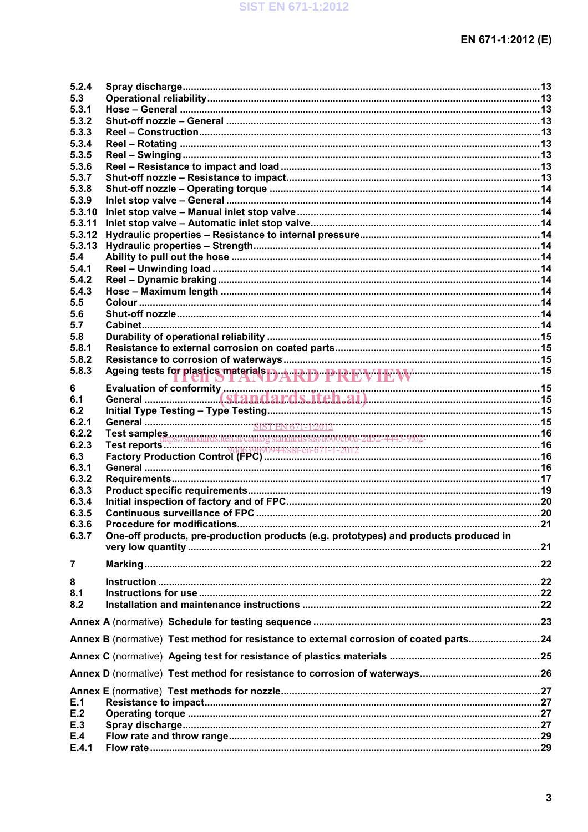| 5.2.4          |                                                                                        |  |
|----------------|----------------------------------------------------------------------------------------|--|
| 5.3            |                                                                                        |  |
| 5.3.1          |                                                                                        |  |
| 5.3.2          |                                                                                        |  |
| 5.3.3          |                                                                                        |  |
| 5.3.4          |                                                                                        |  |
| 5.3.5          |                                                                                        |  |
| 5.3.6          |                                                                                        |  |
| 5.3.7          |                                                                                        |  |
| 5.3.8          |                                                                                        |  |
| 5.3.9          |                                                                                        |  |
| 5,3,10         |                                                                                        |  |
| 5.3.11         |                                                                                        |  |
| 5.3.12         |                                                                                        |  |
| 5.3.13         |                                                                                        |  |
| 5.4            |                                                                                        |  |
| 5.4.1          |                                                                                        |  |
| 5.4.2          |                                                                                        |  |
| 5.4.3          |                                                                                        |  |
| 5.5            |                                                                                        |  |
| 5.6            |                                                                                        |  |
| 5.7            |                                                                                        |  |
| 5.8            |                                                                                        |  |
| 5.8.1          |                                                                                        |  |
| 5.8.2          |                                                                                        |  |
| 5.8.3          |                                                                                        |  |
|                | Ageing tests for plastics materials DARD PREVIEW WWW.COMMUNICIONS                      |  |
| 6              |                                                                                        |  |
| 6.1            |                                                                                        |  |
| 6.2            |                                                                                        |  |
| 6.2.1          |                                                                                        |  |
| 6.2.2          | <b>Test samples</b><br>$\frac{910112489712212}{1211121212212}$<br>$\frac{16}{16}$      |  |
| 6.2.3          |                                                                                        |  |
| 6.3            |                                                                                        |  |
| 6.3.1          |                                                                                        |  |
| 6.3.2          |                                                                                        |  |
| 6.3.3          |                                                                                        |  |
| 6.3.4          |                                                                                        |  |
| 6.3.5          |                                                                                        |  |
| 636            | <b>Procedure for modifications.</b>                                                    |  |
| 6.3.7          | One-off products, pre-production products (e.g. prototypes) and products produced in   |  |
|                |                                                                                        |  |
| $\overline{7}$ |                                                                                        |  |
| 8              |                                                                                        |  |
| 8.1            |                                                                                        |  |
| 8.2            |                                                                                        |  |
|                |                                                                                        |  |
|                |                                                                                        |  |
|                | Annex B (normative) Test method for resistance to external corrosion of coated parts24 |  |
|                |                                                                                        |  |
|                |                                                                                        |  |
|                |                                                                                        |  |
| E.1            |                                                                                        |  |
| E.2            |                                                                                        |  |
| E.3            |                                                                                        |  |
| E.4            |                                                                                        |  |
| E.4.1          |                                                                                        |  |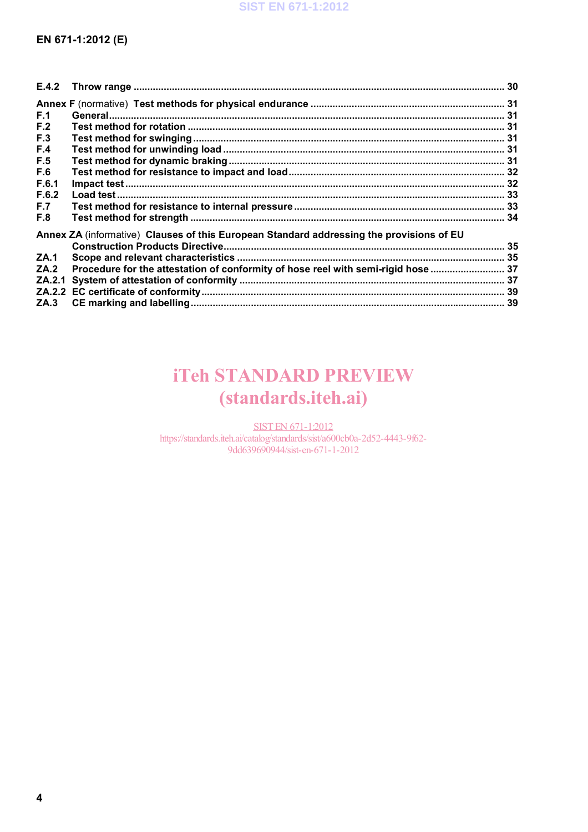| <b>F.1</b>  |                                                                                          |  |
|-------------|------------------------------------------------------------------------------------------|--|
| F.2         |                                                                                          |  |
| F.3         |                                                                                          |  |
| F.4         |                                                                                          |  |
| F.5         |                                                                                          |  |
| F.6         |                                                                                          |  |
| F.6.1       |                                                                                          |  |
| F.6.2       |                                                                                          |  |
| F.7         |                                                                                          |  |
| F.8         |                                                                                          |  |
|             | Annex ZA (informative) Clauses of this European Standard addressing the provisions of EU |  |
|             |                                                                                          |  |
| <b>ZA.1</b> |                                                                                          |  |
| ZA.2        | Procedure for the attestation of conformity of hose reel with semi-rigid hose  37        |  |
| ZA.2.1      |                                                                                          |  |
|             |                                                                                          |  |
| ZA.3        |                                                                                          |  |

# **iTeh STANDARD PREVIEW** (standards.iteh.ai)

SIST EN 671-1:2012<br>https://standards.iteh.ai/catalog/standards/sist/a600cb0a-2d52-4443-9f62-9dd639690944/sist-en-671-1-2012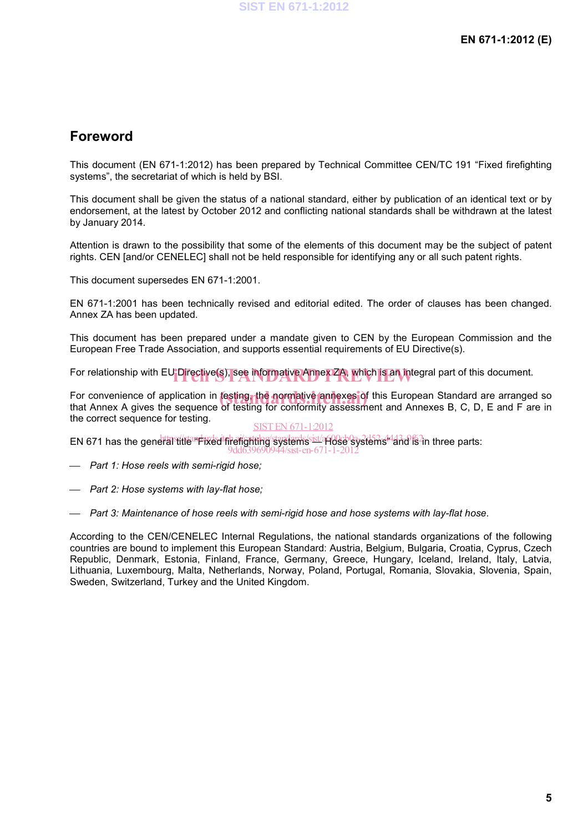### **Foreword**

This document (EN 671-1:2012) has been prepared by Technical Committee CEN/TC 191 "Fixed firefighting systems", the secretariat of which is held by BSI.

This document shall be given the status of a national standard, either by publication of an identical text or by endorsement, at the latest by October 2012 and conflicting national standards shall be withdrawn at the latest by January 2014.

Attention is drawn to the possibility that some of the elements of this document may be the subject of patent rights. CEN [and/or CENELEC] shall not be held responsible for identifying any or all such patent rights.

This document supersedes EN 671-1:2001.

EN 671-1:2001 has been technically revised and editorial edited. The order of clauses has been changed. Annex ZA has been updated.

This document has been prepared under a mandate given to CEN by the European Commission and the European Free Trade Association, and supports essential requirements of EU Directive(s).

For relationship with EU Directive(s), see informative Annex ZA, which is an integral part of this document.

For convenience of application in **testing, the normative annexes** of this European Standard are arranged so **Formation**<br>that Annex A gives the sequence of testing for conformity assessment and Annexes B. C. D. F. and F. a that Annex A gives the sequence of testing for conformity assessment and Annexes B, C, D, E and F are in the correct sequence for testing.

#### SIST EN 671-1:2012

EN 671 has the general title "Fixed the ighting systems ist/a 100se Systems" and is in three parts:  $\frac{1}{\sqrt{2}}$ 

*Part 1: Hose reels with semi-rigid hose;* 

- *Part 2: Hose systems with lay-flat hose;*
- *Part 3: Maintenance of hose reels with semi-rigid hose and hose systems with lay-flat hose*.

According to the CEN/CENELEC Internal Regulations, the national standards organizations of the following countries are bound to implement this European Standard: Austria, Belgium, Bulgaria, Croatia, Cyprus, Czech Republic, Denmark, Estonia, Finland, France, Germany, Greece, Hungary, Iceland, Ireland, Italy, Latvia, Lithuania, Luxembourg, Malta, Netherlands, Norway, Poland, Portugal, Romania, Slovakia, Slovenia, Spain, Sweden, Switzerland, Turkey and the United Kingdom.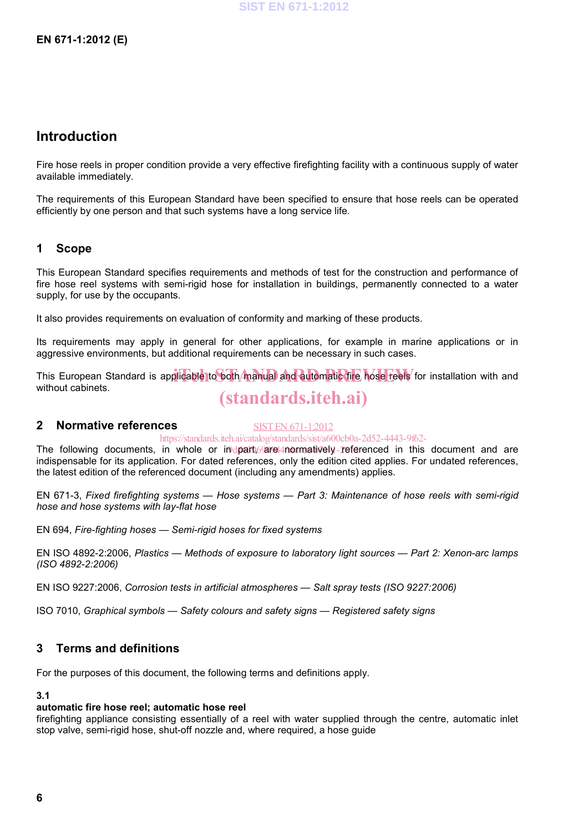## **Introduction**

Fire hose reels in proper condition provide a very effective firefighting facility with a continuous supply of water available immediately.

The requirements of this European Standard have been specified to ensure that hose reels can be operated efficiently by one person and that such systems have a long service life.

#### **1 Scope**

This European Standard specifies requirements and methods of test for the construction and performance of fire hose reel systems with semi-rigid hose for installation in buildings, permanently connected to a water supply, for use by the occupants.

It also provides requirements on evaluation of conformity and marking of these products.

Its requirements may apply in general for other applications, for example in marine applications or in aggressive environments, but additional requirements can be necessary in such cases.

This European Standard is applicable to both manual and automatic fire hose feels for installation with and without cabinets. (standards.iteh.ai)

#### **2 Normative references**

SIST EN 671-1:2012

https://standards.iteh.ai/catalog/standards/sist/a600cb0a-2d52-4443-9f62-

The following documents, in whole or in dpart, care anormatively referenced in this document and are indispensable for its application. For dated references, only the edition cited applies. For undated references, the latest edition of the referenced document (including any amendments) applies.

EN 671-3, *Fixed firefighting systems — Hose systems — Part 3: Maintenance of hose reels with semi-rigid hose and hose systems with lay-flat hose*

EN 694, *Fire-fighting hoses — Semi-rigid hoses for fixed systems*

EN ISO 4892-2:2006, *Plastics — Methods of exposure to laboratory light sources — Part 2: Xenon-arc lamps (ISO 4892-2:2006)*

EN ISO 9227:2006, *Corrosion tests in artificial atmospheres — Salt spray tests (ISO 9227:2006)* 

ISO 7010, *Graphical symbols — Safety colours and safety signs — Registered safety signs*

### **3 Terms and definitions**

For the purposes of this document, the following terms and definitions apply.

#### **3.1**

#### **automatic fire hose reel; automatic hose reel**

firefighting appliance consisting essentially of a reel with water supplied through the centre, automatic inlet stop valve, semi-rigid hose, shut-off nozzle and, where required, a hose guide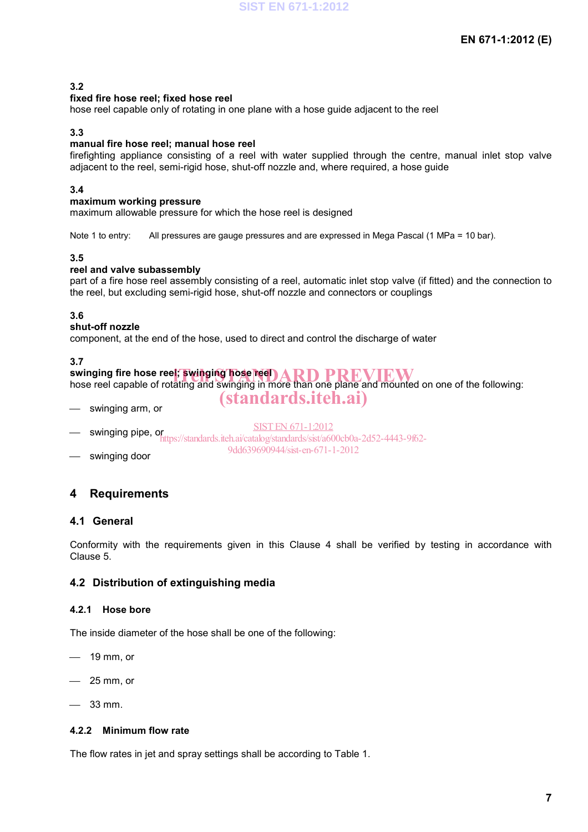#### **3.2**

#### **fixed fire hose reel; fixed hose reel**

hose reel capable only of rotating in one plane with a hose guide adjacent to the reel

#### **3.3**

#### **manual fire hose reel; manual hose reel**

firefighting appliance consisting of a reel with water supplied through the centre, manual inlet stop valve adjacent to the reel, semi-rigid hose, shut-off nozzle and, where required, a hose guide

#### **3.4**

#### **maximum working pressure**

maximum allowable pressure for which the hose reel is designed

Note 1 to entry: All pressures are gauge pressures and are expressed in Mega Pascal (1 MPa = 10 bar).

#### **3.5**

#### **reel and valve subassembly**

part of a fire hose reel assembly consisting of a reel, automatic inlet stop valve (if fitted) and the connection to the reel, but excluding semi-rigid hose, shut-off nozzle and connectors or couplings

#### **3.6**

#### **shut-off nozzle**

component, at the end of the hose, used to direct and control the discharge of water

#### **3.7**

**swinging fire hose reel; swinging hose reel**  swinging fire hose reel; swinging hose reel) ARD PREVIEW<br>hose reel capable of rotating and swinging in more than one plane and mounted on one of the following:

- swinging arm, or

# (standards.iteh.ai)

- $\longrightarrow$  swinging pipe, or https://standards.iteh.ai/catalog/standards/sist/a600cb0a-2d52-4443-9f62-SIST EN 671-1:2012 9dd639690944/sist-en-671-1-2012
- swinging door

#### **4 Requirements**

#### **4.1 General**

Conformity with the requirements given in this Clause 4 shall be verified by testing in accordance with Clause 5.

#### **4.2 Distribution of extinguishing media**

#### **4.2.1 Hose bore**

The inside diameter of the hose shall be one of the following:

- $-19$  mm, or
- $-25$  mm, or
- $-33$  mm.

#### **4.2.2 Minimum flow rate**

The flow rates in jet and spray settings shall be according to Table 1.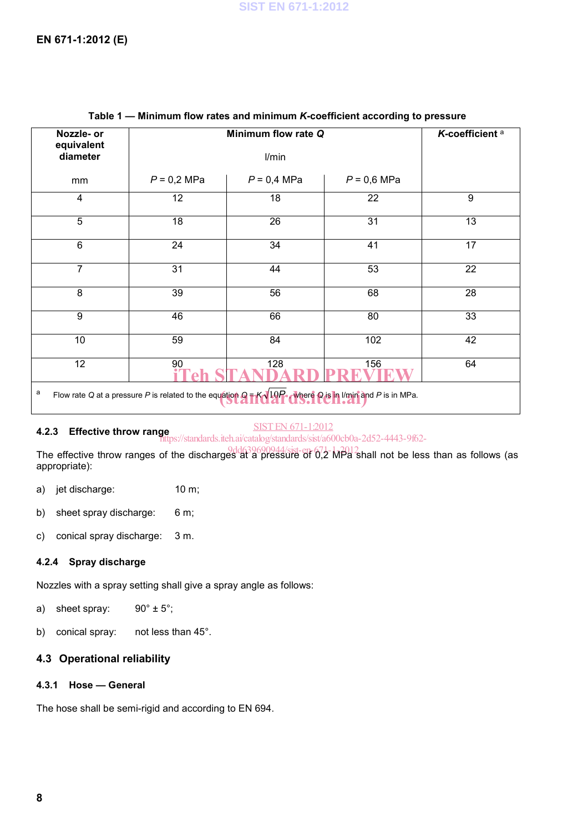| Nozzle- or                                                                                                           | Minimum flow rate Q |               |               | K-coefficient <sup>a</sup> |
|----------------------------------------------------------------------------------------------------------------------|---------------------|---------------|---------------|----------------------------|
| equivalent<br>diameter                                                                                               | l/min               |               |               |                            |
| mm                                                                                                                   | $P = 0,2$ MPa       | $P = 0,4$ MPa | $P = 0,6$ MPa |                            |
| 4                                                                                                                    | 12                  | 18            | 22            | 9                          |
| 5                                                                                                                    | 18                  | 26            | 31            | 13                         |
| $6\phantom{1}$                                                                                                       | 24                  | 34            | 41            | 17                         |
| $\overline{7}$                                                                                                       | 31                  | 44            | 53            | 22                         |
| 8                                                                                                                    | 39                  | 56            | 68            | 28                         |
| $\boldsymbol{9}$                                                                                                     | 46                  | 66            | 80            | 33                         |
| 10                                                                                                                   | 59                  | 84            | 102           | 42                         |
| 12                                                                                                                   | 90                  | 128           | 156           | 64                         |
| Flow rate Q at a pressure P is related to the equation $Q = K\sqrt{10P}$ , where Q is in l/min and P is in MPa.<br>a |                     |               |               |                            |

#### **Table 1 — Minimum flow rates and minimum** *K***-coefficient according to pressure**

**4.2.3 Effective throw range** *CONDERRY SIST EN 671-1:2012* https://standards.iteh.ai/catalog/standards/sist/a600cb0a-2d52-4443-9f62-

The effective throw ranges of the discharges at a pressure of  $\delta$ ,  $\delta$ -MPa shall not be less than as follows (as appropriate):

- a) jet discharge: 10 m;
- b) sheet spray discharge: 6 m;
- c) conical spray discharge: 3 m.

#### **4.2.4 Spray discharge**

Nozzles with a spray setting shall give a spray angle as follows:

- a) sheet spray:  $90^\circ \pm 5^\circ$ ;
- b) conical spray: not less than 45°.

#### **4.3 Operational reliability**

#### **4.3.1 Hose — General**

The hose shall be semi-rigid and according to EN 694.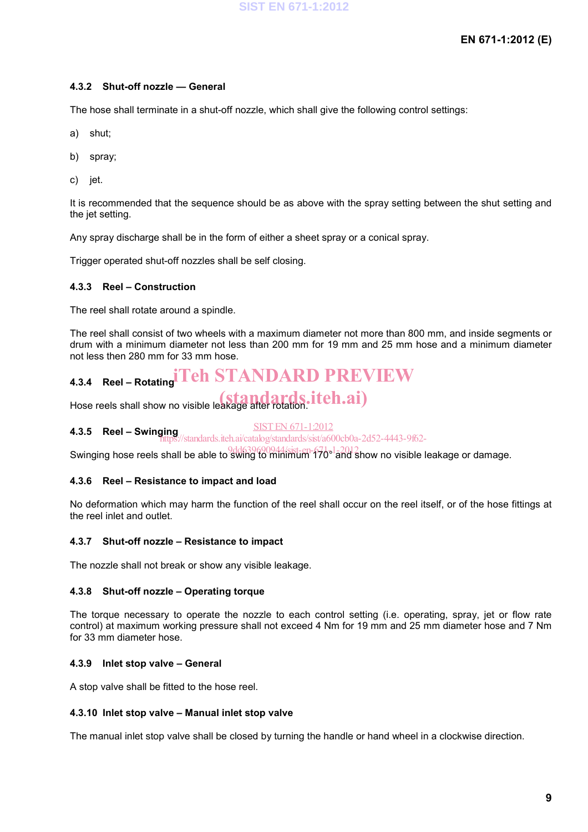#### **4.3.2 Shut-off nozzle — General**

The hose shall terminate in a shut-off nozzle, which shall give the following control settings:

- a) shut;
- b) spray;
- c) iet.

It is recommended that the sequence should be as above with the spray setting between the shut setting and the jet setting.

Any spray discharge shall be in the form of either a sheet spray or a conical spray.

Trigger operated shut-off nozzles shall be self closing.

#### **4.3.3 Reel – Construction**

The reel shall rotate around a spindle.

The reel shall consist of two wheels with a maximum diameter not more than 800 mm, and inside segments or drum with a minimum diameter not less than 200 mm for 19 mm and 25 mm hose and a minimum diameter not less then 280 mm for 33 mm hose.

# **4.3.4 Reel – Rotating Teh STANDARD PREVIEW**

Hose reels shall show no visible leakage after rotation. **itch.ai**)

# **4.3.5 Reel – Swinging SIST EN 671-1:2012**

https://standards.iteh.ai/catalog/standards/sist/a600cb0a-2d52-4443-9f62-

Swinging hose reels shall be able to swing to minimum 170<sup>-1</sup> and show no visible leakage or damage.

#### **4.3.6 Reel – Resistance to impact and load**

No deformation which may harm the function of the reel shall occur on the reel itself, or of the hose fittings at the reel inlet and outlet.

#### **4.3.7 Shut-off nozzle – Resistance to impact**

The nozzle shall not break or show any visible leakage.

#### **4.3.8 Shut-off nozzle – Operating torque**

The torque necessary to operate the nozzle to each control setting (i.e. operating, spray, jet or flow rate control) at maximum working pressure shall not exceed 4 Nm for 19 mm and 25 mm diameter hose and 7 Nm for 33 mm diameter hose.

#### **4.3.9 Inlet stop valve – General**

A stop valve shall be fitted to the hose reel.

#### **4.3.10 Inlet stop valve – Manual inlet stop valve**

The manual inlet stop valve shall be closed by turning the handle or hand wheel in a clockwise direction.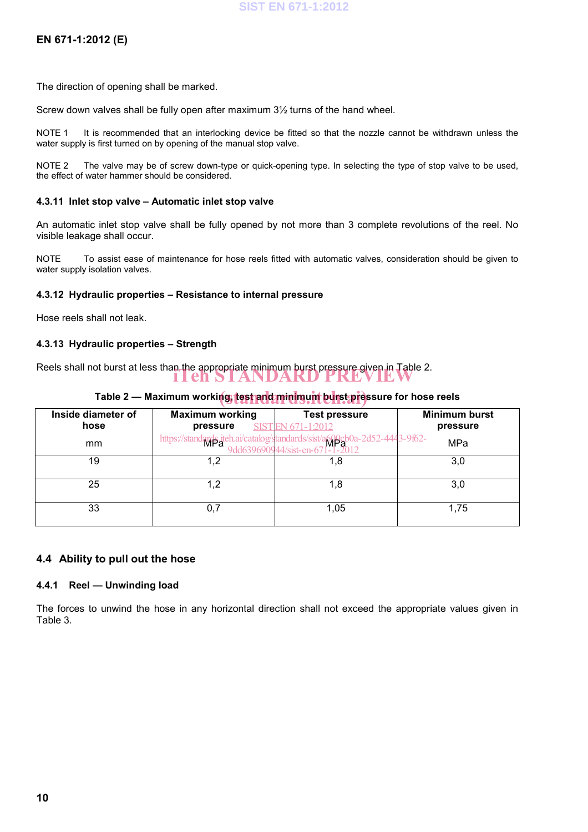#### **EN 671-1:2012 (E)**

The direction of opening shall be marked.

Screw down valves shall be fully open after maximum 3½ turns of the hand wheel.

NOTE 1 It is recommended that an interlocking device be fitted so that the nozzle cannot be withdrawn unless the water supply is first turned on by opening of the manual stop valve.

NOTE 2 The valve may be of screw down-type or quick-opening type. In selecting the type of stop valve to be used, the effect of water hammer should be considered.

#### **4.3.11 Inlet stop valve – Automatic inlet stop valve**

An automatic inlet stop valve shall be fully opened by not more than 3 complete revolutions of the reel. No visible leakage shall occur.

NOTE To assist ease of maintenance for hose reels fitted with automatic valves, consideration should be given to water supply isolation valves.

#### **4.3.12 Hydraulic properties – Resistance to internal pressure**

Hose reels shall not leak.

#### **4.3.13 Hydraulic properties – Strength**

Reels shall not burst at less than the appropriate minimum burst pressure given in Table 2. iTeh STANDARD PREVIEW

| Table 2 — Maximum working, test and miningum burst pressure for hose reels |  |  |
|----------------------------------------------------------------------------|--|--|
|----------------------------------------------------------------------------|--|--|

| Inside diameter of | <b>Maximum working</b> | <b>Test pressure</b>                                                                            | <b>Minimum burst</b> |
|--------------------|------------------------|-------------------------------------------------------------------------------------------------|----------------------|
| hose               | pressure               | <b>SIST EN 671-1:2012</b>                                                                       | pressure             |
| mm                 |                        | https://standards/sit/amdards/sist/amples/0a-2d52-4443-9f62-<br>9dd639690944/sist-en-671-1-2012 | MPa                  |
| 19                 | 1,2                    | 1,8                                                                                             | 3,0                  |
| 25                 | 1,2                    | 1.8                                                                                             | 3,0                  |
| 33                 |                        | 1,05                                                                                            | 1,75                 |

#### **4.4 Ability to pull out the hose**

#### **4.4.1 Reel — Unwinding load**

The forces to unwind the hose in any horizontal direction shall not exceed the appropriate values given in Table 3.